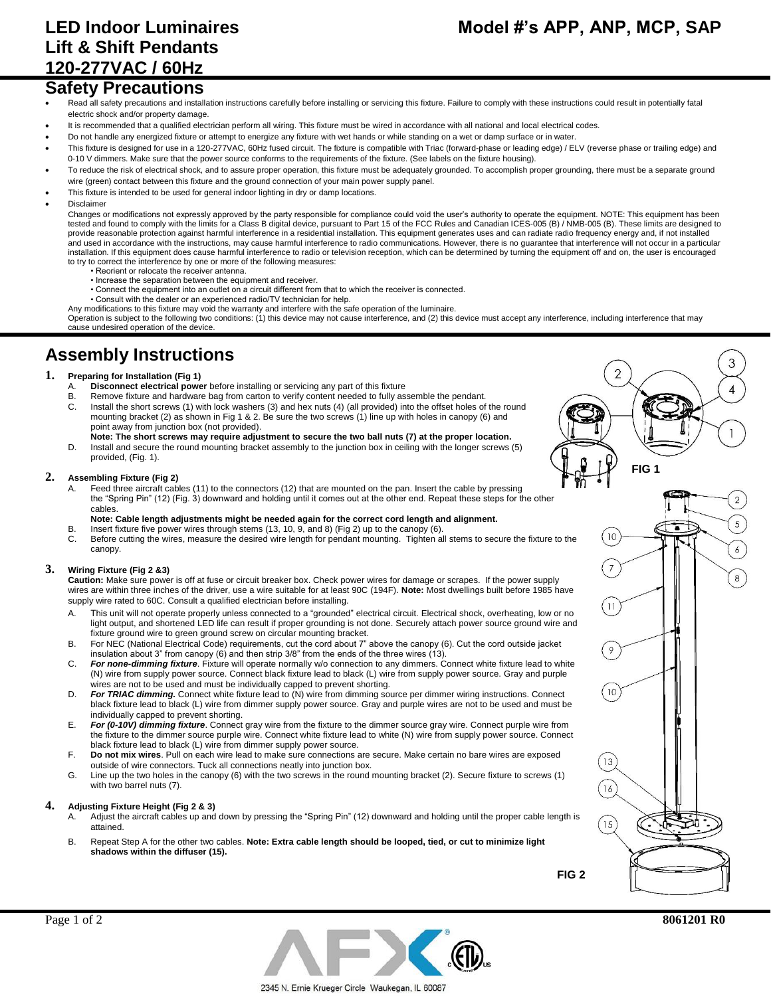# **Lift & Shift Pendants 120-277VAC / 60Hz**

## **Safety Precautions**

- Read all safety precautions and installation instructions carefully before installing or servicing this fixture. Failure to comply with these instructions could result in potentially fatal electric shock and/or property damage.
- It is recommended that a qualified electrician perform all wiring. This fixture must be wired in accordance with all national and local electrical codes.
- Do not handle any energized fixture or attempt to energize any fixture with wet hands or while standing on a wet or damp surface or in water.
- This fixture is designed for use in a 120-277VAC, 60Hz fused circuit. The fixture is compatible with Triac (forward-phase or leading edge) / ELV (reverse phase or trailing edge) and 0-10 V dimmers. Make sure that the power source conforms to the requirements of the fixture. (See labels on the fixture housing).
- To reduce the risk of electrical shock, and to assure proper operation, this fixture must be adequately grounded. To accomplish proper grounding, there must be a separate ground wire (green) contact between this fixture and the ground connection of your main power supply panel.
- This fixture is intended to be used for general indoor lighting in dry or damp locations.
- Disclaimer

Changes or modifications not expressly approved by the party responsible for compliance could void the user's authority to operate the equipment. NOTE: This equipment has been tested and found to comply with the limits for a Class B digital device, pursuant to Part 15 of the FCC Rules and Canadian ICES-005 (B) / NMB-005 (B). These limits are designed to provide reasonable protection against harmful interference in a residential installation. This equipment generates uses and can radiate radio frequency energy and, if not installed and used in accordance with the instructions, may cause harmful interference to radio communications. However, there is no quarantee that interference will not occur in a particular installation. If this equipment does cause harmful interference to radio or television reception, which can be determined by turning the equipment off and on, the user is encouraged to try to correct the interference by one or more of the following measures:

- Reorient or relocate the receiver antenna.
- Increase the separation between the equipment and receiver.
- Connect the equipment into an outlet on a circuit different from that to which the receiver is connected.
- Consult with the dealer or an experienced radio/TV technician for help.

Any modifications to this fixture may void the warranty and interfere with the safe operation of the luminaire. Operation is subject to the following two conditions: (1) this device may not cause interference, and (2) this device must accept any interference, including interference that may cause undesired operation of the device.

## **Assembly Instructions**

### **1. Preparing for Installation (Fig 1)**

- A. **Disconnect electrical power** before installing or servicing any part of this fixture
- B. Remove fixture and hardware bag from carton to verify content needed to fully assemble the pendant.<br>C. Install the short screws (1) with lock washers (3) and hex nuts (4) (all provided) into the offset holes of Install the short screws (1) with lock washers (3) and hex nuts (4) (all provided) into the offset holes of the round mounting bracket (2) as shown in Fig 1 & 2. Be sure the two screws (1) line up with holes in canopy (6) and point away from junction box (not provided).
- **Note: The short screws may require adjustment to secure the two ball nuts (7) at the proper location.** D. Install and secure the round mounting bracket assembly to the junction box in ceiling with the longer screws (5) provided, (Fig. 1).

#### **2. Assembling Fixture (Fig 2)**

- Feed three aircraft cables (11) to the connectors (12) that are mounted on the pan. Insert the cable by pressing the "Spring Pin" (12) (Fig. 3) downward and holding until it comes out at the other end. Repeat these steps for the other cables.
- **Note: Cable length adjustments might be needed again for the correct cord length and alignment.**
- B. Insert fixture five power wires through stems (13, 10, 9, and 8) (Fig 2) up to the canopy (6).
- C. Before cutting the wires, measure the desired wire length for pendant mounting. Tighten all stems to secure the fixture to the canopy.

#### **3. Wiring Fixture (Fig 2 &3)**

**Caution:** Make sure power is off at fuse or circuit breaker box. Check power wires for damage or scrapes. If the power supply wires are within three inches of the driver, use a wire suitable for at least 90C (194F). **Note:** Most dwellings built before 1985 have supply wire rated to 60C. Consult a qualified electrician before installing.

- A. This unit will not operate properly unless connected to a "grounded" electrical circuit. Electrical shock, overheating, low or no light output, and shortened LED life can result if proper grounding is not done. Securely attach power source ground wire and fixture ground wire to green ground screw on circular mounting bracket.
- B. For NEC (National Electrical Code) requirements, cut the cord about 7" above the canopy (6). Cut the cord outside jacket insulation about 3" from canopy (6) and then strip 3/8" from the ends of the three wires (13).
- C. *For none-dimming fixture*. Fixture will operate normally w/o connection to any dimmers. Connect white fixture lead to white (N) wire from supply power source. Connect black fixture lead to black (L) wire from supply power source. Gray and purple wires are not to be used and must be individually capped to prevent shorting.
- D. *For TRIAC dimming.* Connect white fixture lead to (N) wire from dimming source per dimmer wiring instructions. Connect black fixture lead to black (L) wire from dimmer supply power source. Gray and purple wires are not to be used and must be individually capped to prevent shorting.
- E. *For (0-10V) dimming fixture*. Connect gray wire from the fixture to the dimmer source gray wire. Connect purple wire from the fixture to the dimmer source purple wire. Connect white fixture lead to white (N) wire from supply power source. Connect black fixture lead to black (L) wire from dimmer supply power source.
- F. **Do not mix wires**. Pull on each wire lead to make sure connections are secure. Make certain no bare wires are exposed outside of wire connectors. Tuck all connections neatly into junction box.
- G. Line up the two holes in the canopy (6) with the two screws in the round mounting bracket (2). Secure fixture to screws (1) with two barrel nuts (7).

#### **4. Adjusting Fixture Height (Fig 2 & 3)**

- A. Adjust the aircraft cables up and down by pressing the "Spring Pin" (12) downward and holding until the proper cable length is attained.
- B. Repeat Step A for the other two cables. **Note: Extra cable length should be looped, tied, or cut to minimize light shadows within the diffuser (15).**

**FIG 2**





**FIG 1**

т

 $\mathbf{1}$ 

 $\mathfrak{D}$ 

 $\overline{2}$ 

 $10$ 

 $\overline{7}$ 

 $11$ 

 $\, \varphi$ 

 $10$ 

13

16

 $15$